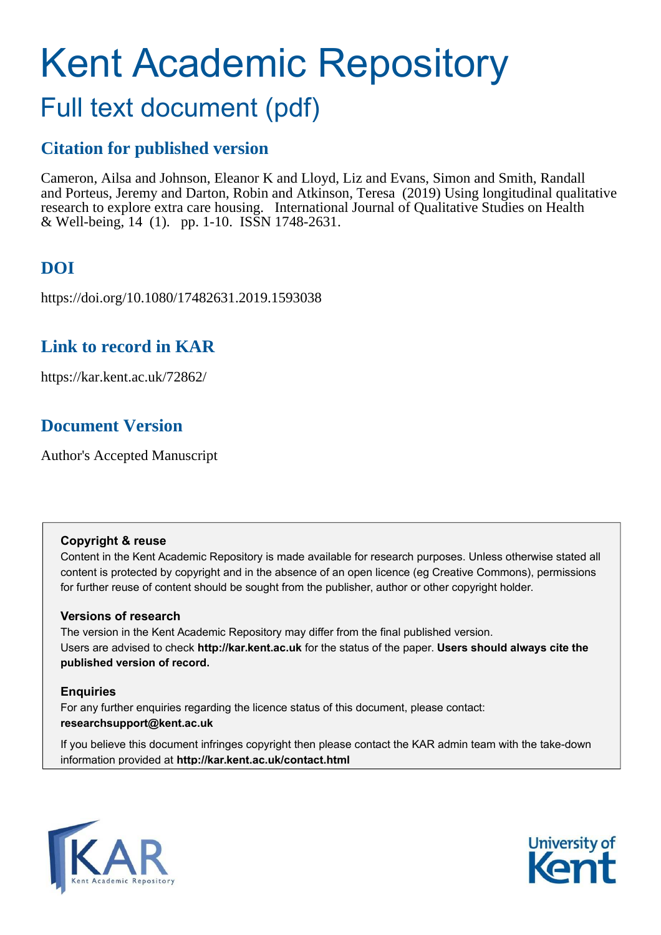# Kent Academic Repository

## Full text document (pdf)

## **Citation for published version**

Cameron, Ailsa and Johnson, Eleanor K and Lloyd, Liz and Evans, Simon and Smith, Randall and Porteus, Jeremy and Darton, Robin and Atkinson, Teresa (2019) Using longitudinal qualitative research to explore extra care housing. International Journal of Qualitative Studies on Health & Well-being, 14 (1). pp. 1-10. ISSN 1748-2631.

## **DOI**

https://doi.org/10.1080/17482631.2019.1593038

## **Link to record in KAR**

https://kar.kent.ac.uk/72862/

## **Document Version**

Author's Accepted Manuscript

#### **Copyright & reuse**

Content in the Kent Academic Repository is made available for research purposes. Unless otherwise stated all content is protected by copyright and in the absence of an open licence (eg Creative Commons), permissions for further reuse of content should be sought from the publisher, author or other copyright holder.

#### **Versions of research**

The version in the Kent Academic Repository may differ from the final published version. Users are advised to check **http://kar.kent.ac.uk** for the status of the paper. **Users should always cite the published version of record.**

#### **Enquiries**

For any further enquiries regarding the licence status of this document, please contact: **researchsupport@kent.ac.uk**

If you believe this document infringes copyright then please contact the KAR admin team with the take-down information provided at **http://kar.kent.ac.uk/contact.html**



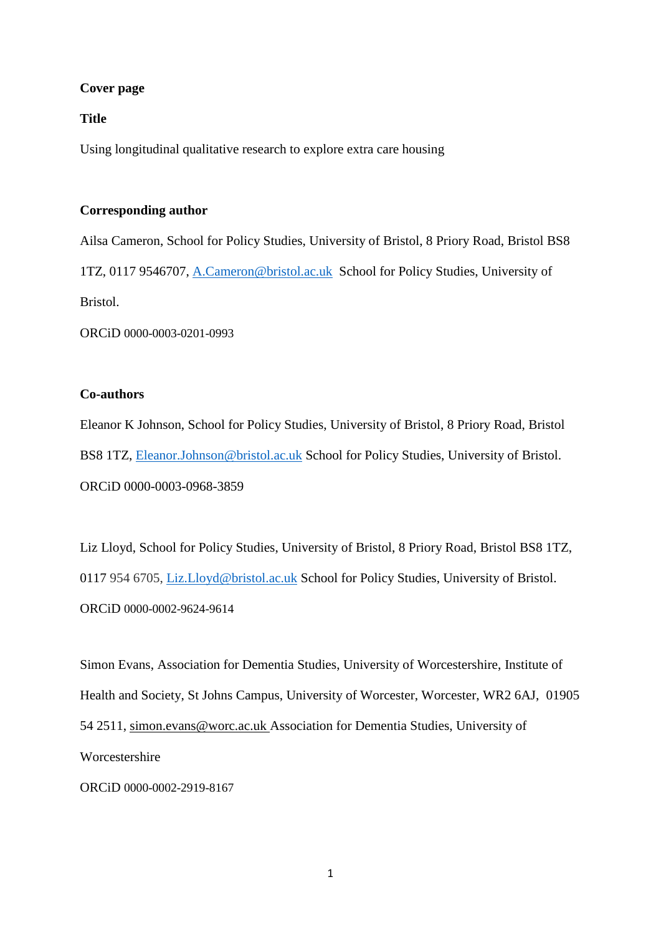#### **Cover page**

**Title** 

Using longitudinal qualitative research to explore extra care housing

#### **Corresponding author**

Ailsa Cameron, School for Policy Studies, University of Bristol, 8 Priory Road, Bristol BS8 1TZ, 0117 9546707, [A.Cameron@bristol.ac.uk](mailto:A.Cameron@bristol.ac.uk) School for Policy Studies, University of Bristol.

ORCiD 0000-0003-0201-0993

#### **Co-authors**

Eleanor K Johnson, School for Policy Studies, University of Bristol, 8 Priory Road, Bristol BS8 1TZ, [Eleanor.Johnson@bristol.ac.uk](mailto:Eleanor.Johnson@bristol.ac.uk) School for Policy Studies, University of Bristol. ORCiD 0000-0003-0968-3859

Liz Lloyd, School for Policy Studies, University of Bristol, 8 Priory Road, Bristol BS8 1TZ, 0117 954 6705, [Liz.Lloyd@bristol.ac.uk](mailto:Liz.Lloyd@bristol.ac.uk) School for Policy Studies, University of Bristol. ORCiD 0000-0002-9624-9614

Simon Evans, Association for Dementia Studies, University of Worcestershire, Institute of Health and Society, St Johns Campus, University of Worcester, Worcester, WR2 6AJ, 01905 54 2511, [simon.evans@worc.ac.uk](mailto:simon.evans@worc.ac.uk) Association for Dementia Studies, University of Worcestershire

ORCiD 0000-0002-2919-8167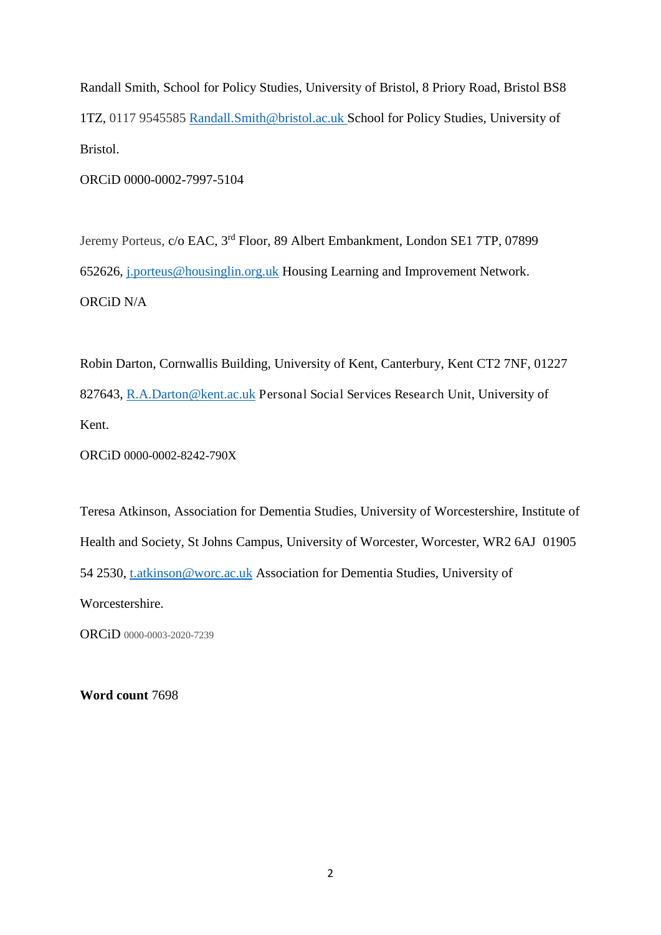Randall Smith, School for Policy Studies, University of Bristol, 8 Priory Road, Bristol BS8 1TZ, 0117 9545585 [Randall.Smith@bristol.ac.uk](mailto:Randall.Smith@bristol.ac.uk) School for Policy Studies, University of Bristol.

ORCiD 0000-0002-7997-5104

Jeremy Porteus, c/o EAC, 3rd Floor, 89 Albert Embankment, London SE1 7TP, 07899 652626, [j.porteus@housinglin.org.uk](mailto:j.porteus@housinglin.org.uk) Housing Learning and Improvement Network. ORCiD N/A

Robin Darton, Cornwallis Building, University of Kent, Canterbury, Kent CT2 7NF, 01227 827643, [R.A.Darton@kent.ac.uk](mailto:R.A.Darton@kent.ac.uk) Personal Social Services Research Unit, University of Kent.

ORCiD 0000-0002-8242-790X

Teresa Atkinson, Association for Dementia Studies, University of Worcestershire, Institute of Health and Society, St Johns Campus, University of Worcester, Worcester, WR2 6AJ 01905 54 2530, [t.atkinson@worc.ac.uk](mailto:t.atkinson@worc.ac.uk) Association for Dementia Studies, University of Worcestershire.

ORCiD 0000-0003-2020-7239

**Word count** 7698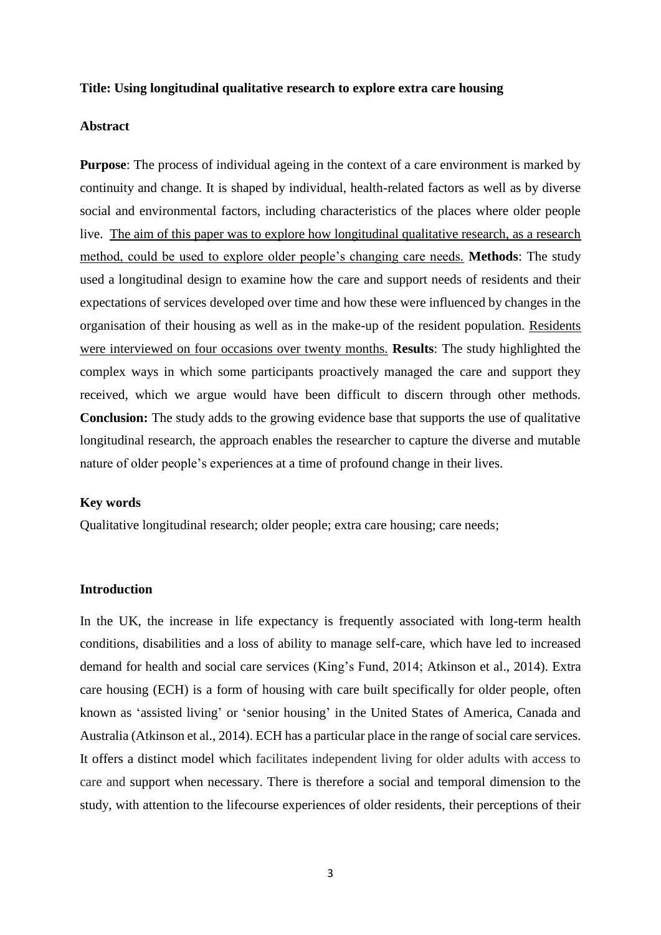#### **Title: Using longitudinal qualitative research to explore extra care housing**

#### **Abstract**

**Purpose**: The process of individual ageing in the context of a care environment is marked by continuity and change. It is shaped by individual, health-related factors as well as by diverse social and environmental factors, including characteristics of the places where older people live. The aim of this paper was to explore how longitudinal qualitative research, as a research method, could be used to explore older people's changing care needs. **Methods**: The study used a longitudinal design to examine how the care and support needs of residents and their expectations of services developed over time and how these were influenced by changes in the organisation of their housing as well as in the make-up of the resident population. Residents were interviewed on four occasions over twenty months. **Results**: The study highlighted the complex ways in which some participants proactively managed the care and support they received, which we argue would have been difficult to discern through other methods. **Conclusion:** The study adds to the growing evidence base that supports the use of qualitative longitudinal research, the approach enables the researcher to capture the diverse and mutable nature of older people's experiences at a time of profound change in their lives.

#### **Key words**

Qualitative longitudinal research; older people; extra care housing; care needs;

#### **Introduction**

In the UK, the increase in life expectancy is frequently associated with long-term health conditions, disabilities and a loss of ability to manage self-care, which have led to increased demand for health and social care services (King's Fund, 2014; Atkinson et al., 2014). Extra care housing (ECH) is a form of housing with care built specifically for older people, often known as 'assisted living' or 'senior housing' in the United States of America, Canada and Australia (Atkinson et al., 2014). ECH has a particular place in the range of social care services. It offers a distinct model which facilitates independent living for older adults with access to care and support when necessary. There is therefore a social and temporal dimension to the study, with attention to the lifecourse experiences of older residents, their perceptions of their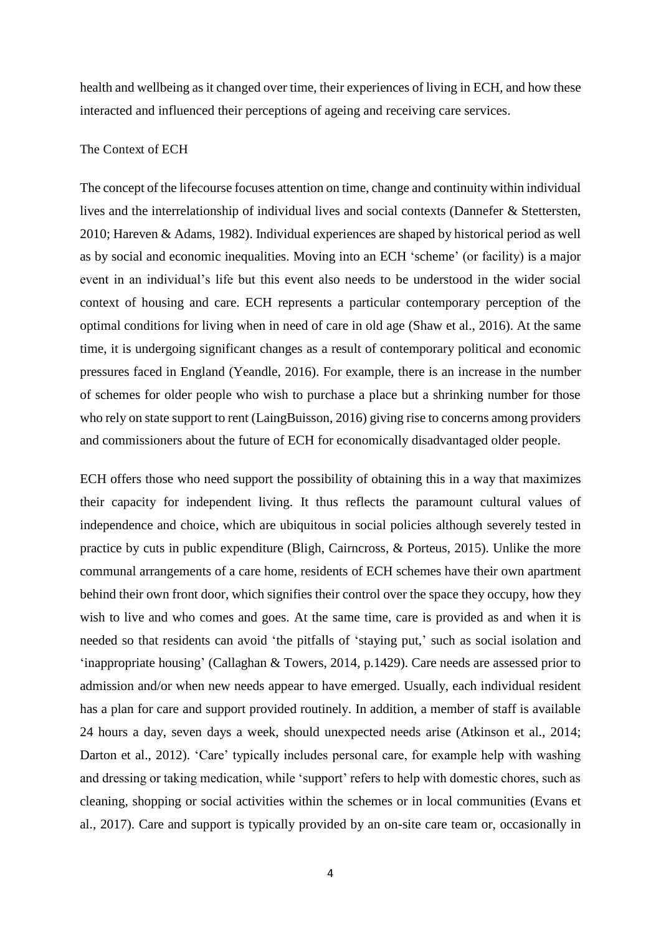health and wellbeing as it changed over time, their experiences of living in ECH, and how these interacted and influenced their perceptions of ageing and receiving care services.

#### The Context of ECH

The concept of the lifecourse focuses attention on time, change and continuity within individual lives and the interrelationship of individual lives and social contexts (Dannefer & Stettersten, 2010; Hareven & Adams, 1982). Individual experiences are shaped by historical period as well as by social and economic inequalities. Moving into an ECH 'scheme' (or facility) is a major event in an individual's life but this event also needs to be understood in the wider social context of housing and care. ECH represents a particular contemporary perception of the optimal conditions for living when in need of care in old age (Shaw et al., 2016). At the same time, it is undergoing significant changes as a result of contemporary political and economic pressures faced in England (Yeandle, 2016). For example, there is an increase in the number of schemes for older people who wish to purchase a place but a shrinking number for those who rely on state support to rent (LaingBuisson, 2016) giving rise to concerns among providers and commissioners about the future of ECH for economically disadvantaged older people.

ECH offers those who need support the possibility of obtaining this in a way that maximizes their capacity for independent living. It thus reflects the paramount cultural values of independence and choice, which are ubiquitous in social policies although severely tested in practice by cuts in public expenditure (Bligh, Cairncross, & Porteus, 2015). Unlike the more communal arrangements of a care home, residents of ECH schemes have their own apartment behind their own front door, which signifies their control over the space they occupy, how they wish to live and who comes and goes. At the same time, care is provided as and when it is needed so that residents can avoid 'the pitfalls of 'staying put,' such as social isolation and 'inappropriate housing' (Callaghan & Towers, 2014, p.1429). Care needs are assessed prior to admission and/or when new needs appear to have emerged. Usually, each individual resident has a plan for care and support provided routinely. In addition, a member of staff is available 24 hours a day, seven days a week, should unexpected needs arise (Atkinson et al., 2014; Darton et al., 2012). 'Care' typically includes personal care, for example help with washing and dressing or taking medication, while 'support' refers to help with domestic chores, such as cleaning, shopping or social activities within the schemes or in local communities (Evans et al., 2017). Care and support is typically provided by an on-site care team or, occasionally in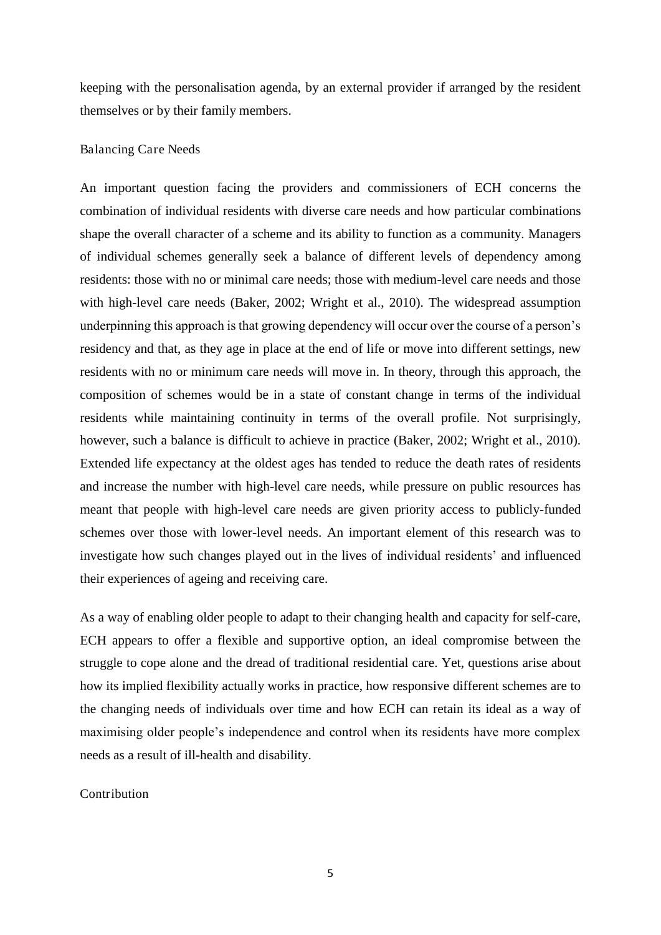keeping with the personalisation agenda, by an external provider if arranged by the resident themselves or by their family members.

#### Balancing Care Needs

An important question facing the providers and commissioners of ECH concerns the combination of individual residents with diverse care needs and how particular combinations shape the overall character of a scheme and its ability to function as a community. Managers of individual schemes generally seek a balance of different levels of dependency among residents: those with no or minimal care needs; those with medium-level care needs and those with high-level care needs (Baker, 2002; Wright et al., 2010). The widespread assumption underpinning this approach is that growing dependency will occur over the course of a person's residency and that, as they age in place at the end of life or move into different settings, new residents with no or minimum care needs will move in. In theory, through this approach, the composition of schemes would be in a state of constant change in terms of the individual residents while maintaining continuity in terms of the overall profile. Not surprisingly, however, such a balance is difficult to achieve in practice (Baker, 2002; Wright et al., 2010). Extended life expectancy at the oldest ages has tended to reduce the death rates of residents and increase the number with high-level care needs, while pressure on public resources has meant that people with high-level care needs are given priority access to publicly-funded schemes over those with lower-level needs. An important element of this research was to investigate how such changes played out in the lives of individual residents' and influenced their experiences of ageing and receiving care.

As a way of enabling older people to adapt to their changing health and capacity for self-care, ECH appears to offer a flexible and supportive option, an ideal compromise between the struggle to cope alone and the dread of traditional residential care. Yet, questions arise about how its implied flexibility actually works in practice, how responsive different schemes are to the changing needs of individuals over time and how ECH can retain its ideal as a way of maximising older people's independence and control when its residents have more complex needs as a result of ill-health and disability.

#### **Contribution**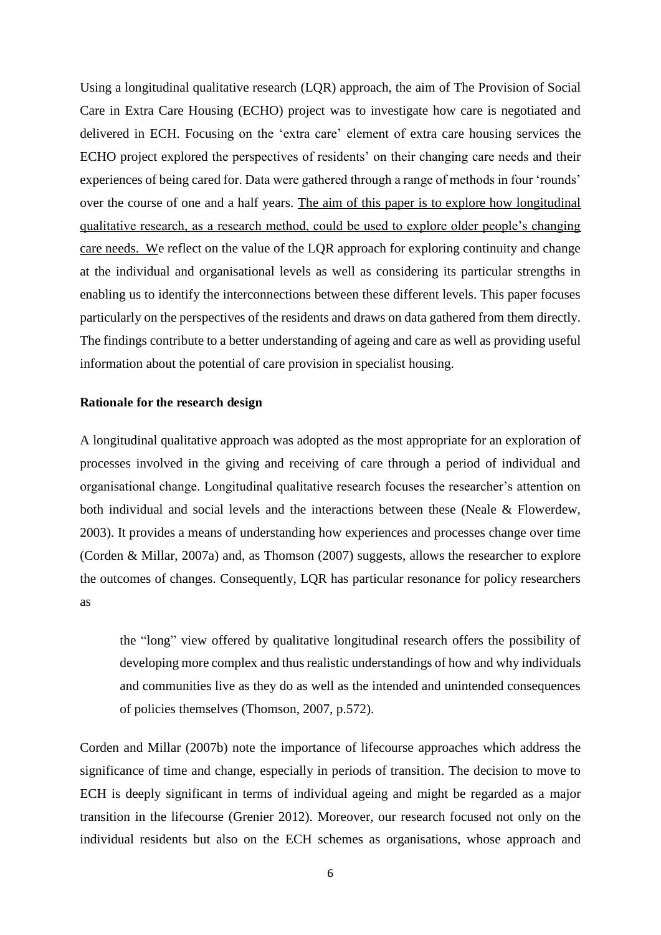Using a longitudinal qualitative research (LQR) approach, the aim of The Provision of Social Care in Extra Care Housing (ECHO) project was to investigate how care is negotiated and delivered in ECH. Focusing on the 'extra care' element of extra care housing services the ECHO project explored the perspectives of residents' on their changing care needs and their experiences of being cared for. Data were gathered through a range of methods in four 'rounds' over the course of one and a half years. The aim of this paper is to explore how longitudinal qualitative research, as a research method, could be used to explore older people's changing care needs. We reflect on the value of the LQR approach for exploring continuity and change at the individual and organisational levels as well as considering its particular strengths in enabling us to identify the interconnections between these different levels. This paper focuses particularly on the perspectives of the residents and draws on data gathered from them directly. The findings contribute to a better understanding of ageing and care as well as providing useful information about the potential of care provision in specialist housing.

#### **Rationale for the research design**

A longitudinal qualitative approach was adopted as the most appropriate for an exploration of processes involved in the giving and receiving of care through a period of individual and organisational change. Longitudinal qualitative research focuses the researcher's attention on both individual and social levels and the interactions between these (Neale & Flowerdew, 2003). It provides a means of understanding how experiences and processes change over time (Corden & Millar, 2007a) and, as Thomson (2007) suggests, allows the researcher to explore the outcomes of changes. Consequently, LQR has particular resonance for policy researchers as

the "long" view offered by qualitative longitudinal research offers the possibility of developing more complex and thus realistic understandings of how and why individuals and communities live as they do as well as the intended and unintended consequences of policies themselves (Thomson, 2007, p.572).

Corden and Millar (2007b) note the importance of lifecourse approaches which address the significance of time and change, especially in periods of transition. The decision to move to ECH is deeply significant in terms of individual ageing and might be regarded as a major transition in the lifecourse (Grenier 2012). Moreover, our research focused not only on the individual residents but also on the ECH schemes as organisations, whose approach and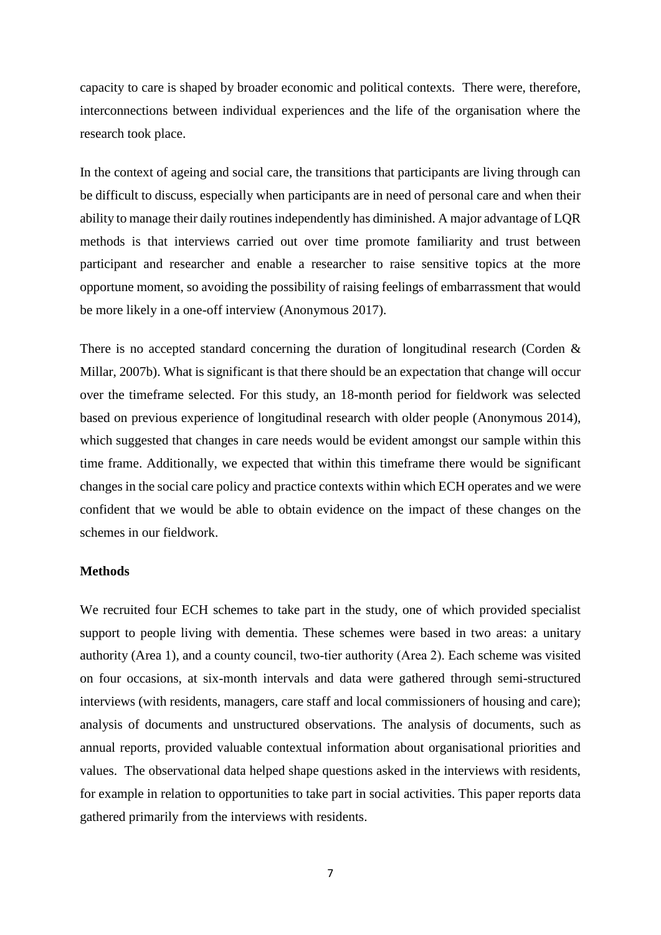capacity to care is shaped by broader economic and political contexts. There were, therefore, interconnections between individual experiences and the life of the organisation where the research took place.

In the context of ageing and social care, the transitions that participants are living through can be difficult to discuss, especially when participants are in need of personal care and when their ability to manage their daily routines independently has diminished. A major advantage of LQR methods is that interviews carried out over time promote familiarity and trust between participant and researcher and enable a researcher to raise sensitive topics at the more opportune moment, so avoiding the possibility of raising feelings of embarrassment that would be more likely in a one-off interview (Anonymous 2017).

There is no accepted standard concerning the duration of longitudinal research (Corden & Millar, 2007b). What is significant is that there should be an expectation that change will occur over the timeframe selected. For this study, an 18-month period for fieldwork was selected based on previous experience of longitudinal research with older people (Anonymous 2014), which suggested that changes in care needs would be evident amongst our sample within this time frame. Additionally, we expected that within this timeframe there would be significant changes in the social care policy and practice contexts within which ECH operates and we were confident that we would be able to obtain evidence on the impact of these changes on the schemes in our fieldwork.

#### **Methods**

We recruited four ECH schemes to take part in the study, one of which provided specialist support to people living with dementia. These schemes were based in two areas: a unitary authority (Area 1), and a county council, two-tier authority (Area 2). Each scheme was visited on four occasions, at six-month intervals and data were gathered through semi-structured interviews (with residents, managers, care staff and local commissioners of housing and care); analysis of documents and unstructured observations. The analysis of documents, such as annual reports, provided valuable contextual information about organisational priorities and values. The observational data helped shape questions asked in the interviews with residents, for example in relation to opportunities to take part in social activities. This paper reports data gathered primarily from the interviews with residents.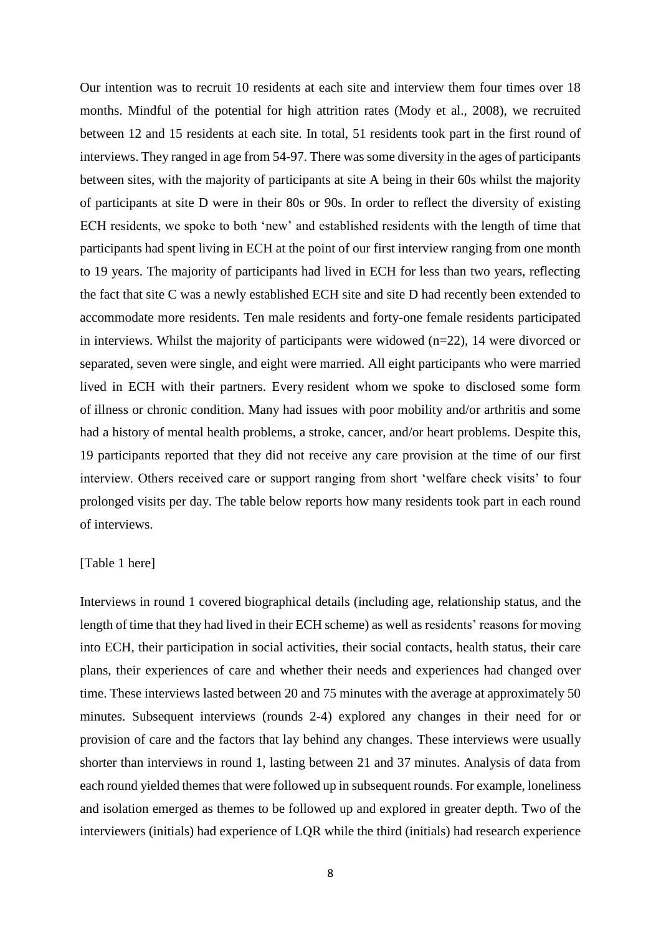Our intention was to recruit 10 residents at each site and interview them four times over 18 months. Mindful of the potential for high attrition rates (Mody et al., 2008), we recruited between 12 and 15 residents at each site. In total, 51 residents took part in the first round of interviews. They ranged in age from 54-97. There was some diversity in the ages of participants between sites, with the majority of participants at site A being in their 60s whilst the majority of participants at site D were in their 80s or 90s. In order to reflect the diversity of existing ECH residents, we spoke to both 'new' and established residents with the length of time that participants had spent living in ECH at the point of our first interview ranging from one month to 19 years. The majority of participants had lived in ECH for less than two years, reflecting the fact that site C was a newly established ECH site and site D had recently been extended to accommodate more residents. Ten male residents and forty-one female residents participated in interviews. Whilst the majority of participants were widowed  $(n=22)$ , 14 were divorced or separated, seven were single, and eight were married. All eight participants who were married lived in ECH with their partners. Every resident whom we spoke to disclosed some form of illness or chronic condition. Many had issues with poor mobility and/or arthritis and some had a history of mental health problems, a stroke, cancer, and/or heart problems. Despite this, 19 participants reported that they did not receive any care provision at the time of our first interview. Others received care or support ranging from short 'welfare check visits' to four prolonged visits per day. The table below reports how many residents took part in each round of interviews.

#### [Table 1 here]

Interviews in round 1 covered biographical details (including age, relationship status, and the length of time that they had lived in their ECH scheme) as well as residents' reasons for moving into ECH, their participation in social activities, their social contacts, health status, their care plans, their experiences of care and whether their needs and experiences had changed over time. These interviews lasted between 20 and 75 minutes with the average at approximately 50 minutes. Subsequent interviews (rounds 2-4) explored any changes in their need for or provision of care and the factors that lay behind any changes. These interviews were usually shorter than interviews in round 1, lasting between 21 and 37 minutes. Analysis of data from each round yielded themes that were followed up in subsequent rounds. For example, loneliness and isolation emerged as themes to be followed up and explored in greater depth. Two of the interviewers (initials) had experience of LQR while the third (initials) had research experience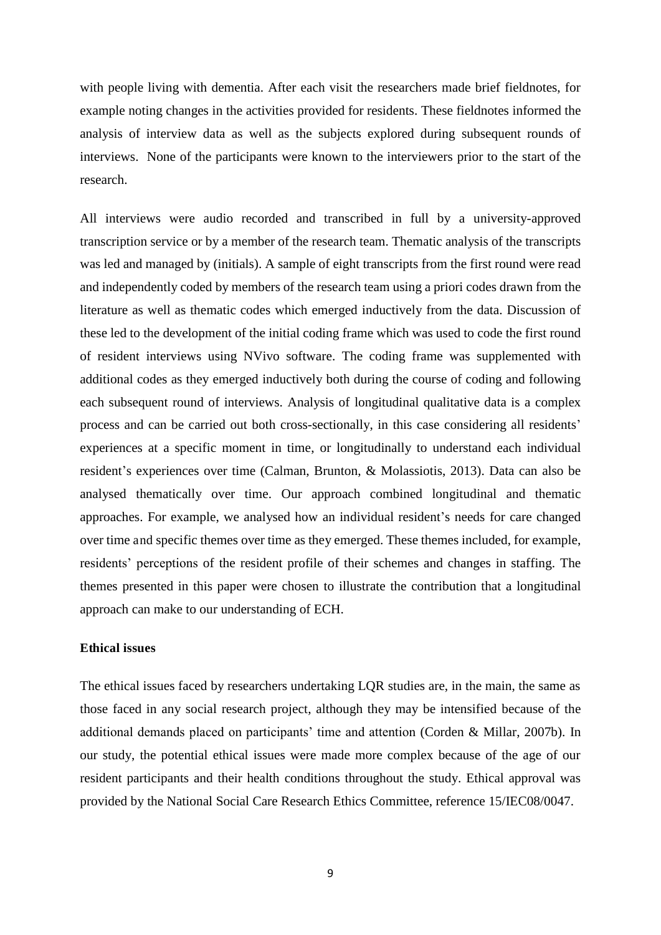with people living with dementia. After each visit the researchers made brief fieldnotes, for example noting changes in the activities provided for residents. These fieldnotes informed the analysis of interview data as well as the subjects explored during subsequent rounds of interviews. None of the participants were known to the interviewers prior to the start of the research.

All interviews were audio recorded and transcribed in full by a university-approved transcription service or by a member of the research team. Thematic analysis of the transcripts was led and managed by (initials). A sample of eight transcripts from the first round were read and independently coded by members of the research team using a priori codes drawn from the literature as well as thematic codes which emerged inductively from the data. Discussion of these led to the development of the initial coding frame which was used to code the first round of resident interviews using NVivo software. The coding frame was supplemented with additional codes as they emerged inductively both during the course of coding and following each subsequent round of interviews. Analysis of longitudinal qualitative data is a complex process and can be carried out both cross-sectionally, in this case considering all residents' experiences at a specific moment in time, or longitudinally to understand each individual resident's experiences over time (Calman, Brunton, & Molassiotis, 2013). Data can also be analysed thematically over time. Our approach combined longitudinal and thematic approaches. For example, we analysed how an individual resident's needs for care changed over time and specific themes over time as they emerged. These themes included, for example, residents' perceptions of the resident profile of their schemes and changes in staffing. The themes presented in this paper were chosen to illustrate the contribution that a longitudinal approach can make to our understanding of ECH.

#### **Ethical issues**

The ethical issues faced by researchers undertaking LQR studies are, in the main, the same as those faced in any social research project, although they may be intensified because of the additional demands placed on participants' time and attention (Corden & Millar, 2007b). In our study, the potential ethical issues were made more complex because of the age of our resident participants and their health conditions throughout the study. Ethical approval was provided by the National Social Care Research Ethics Committee, reference 15/IEC08/0047.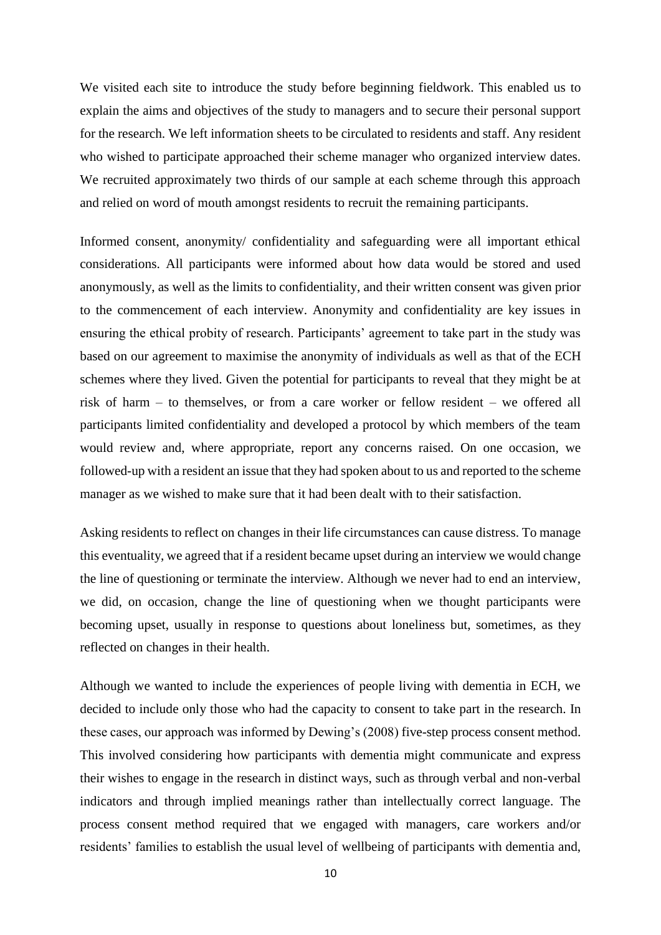We visited each site to introduce the study before beginning fieldwork. This enabled us to explain the aims and objectives of the study to managers and to secure their personal support for the research. We left information sheets to be circulated to residents and staff. Any resident who wished to participate approached their scheme manager who organized interview dates. We recruited approximately two thirds of our sample at each scheme through this approach and relied on word of mouth amongst residents to recruit the remaining participants.

Informed consent, anonymity/ confidentiality and safeguarding were all important ethical considerations. All participants were informed about how data would be stored and used anonymously, as well as the limits to confidentiality, and their written consent was given prior to the commencement of each interview. Anonymity and confidentiality are key issues in ensuring the ethical probity of research. Participants' agreement to take part in the study was based on our agreement to maximise the anonymity of individuals as well as that of the ECH schemes where they lived. Given the potential for participants to reveal that they might be at risk of harm – to themselves, or from a care worker or fellow resident – we offered all participants limited confidentiality and developed a protocol by which members of the team would review and, where appropriate, report any concerns raised. On one occasion, we followed-up with a resident an issue that they had spoken about to us and reported to the scheme manager as we wished to make sure that it had been dealt with to their satisfaction.

Asking residents to reflect on changes in their life circumstances can cause distress. To manage this eventuality, we agreed that if a resident became upset during an interview we would change the line of questioning or terminate the interview. Although we never had to end an interview, we did, on occasion, change the line of questioning when we thought participants were becoming upset, usually in response to questions about loneliness but, sometimes, as they reflected on changes in their health.

Although we wanted to include the experiences of people living with dementia in ECH, we decided to include only those who had the capacity to consent to take part in the research. In these cases, our approach was informed by Dewing's (2008) five-step process consent method. This involved considering how participants with dementia might communicate and express their wishes to engage in the research in distinct ways, such as through verbal and non-verbal indicators and through implied meanings rather than intellectually correct language. The process consent method required that we engaged with managers, care workers and/or residents' families to establish the usual level of wellbeing of participants with dementia and,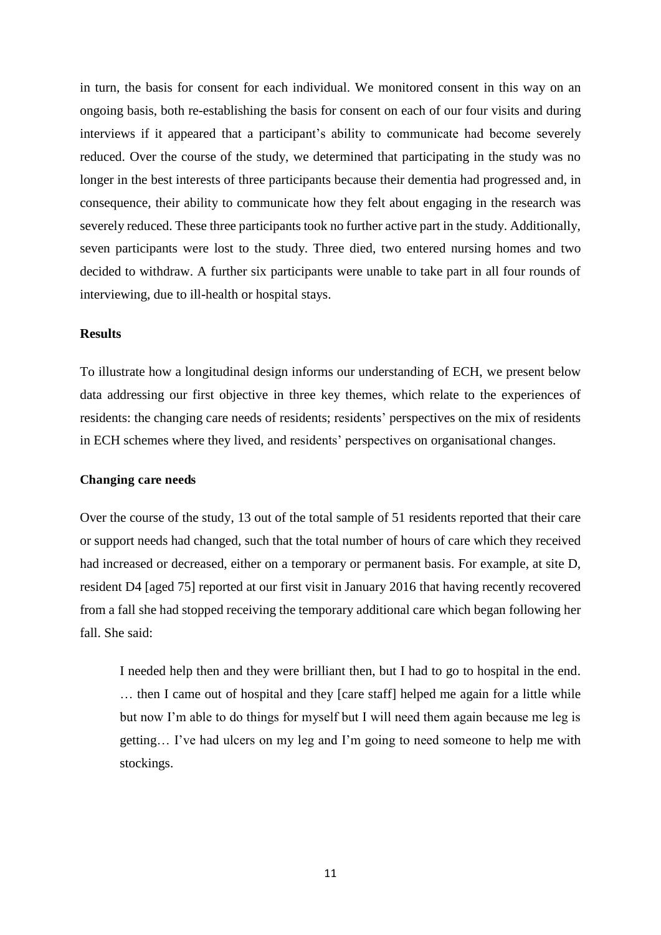in turn, the basis for consent for each individual. We monitored consent in this way on an ongoing basis, both re-establishing the basis for consent on each of our four visits and during interviews if it appeared that a participant's ability to communicate had become severely reduced. Over the course of the study, we determined that participating in the study was no longer in the best interests of three participants because their dementia had progressed and, in consequence, their ability to communicate how they felt about engaging in the research was severely reduced. These three participants took no further active part in the study. Additionally, seven participants were lost to the study. Three died, two entered nursing homes and two decided to withdraw. A further six participants were unable to take part in all four rounds of interviewing, due to ill-health or hospital stays.

#### **Results**

To illustrate how a longitudinal design informs our understanding of ECH, we present below data addressing our first objective in three key themes, which relate to the experiences of residents: the changing care needs of residents; residents' perspectives on the mix of residents in ECH schemes where they lived, and residents' perspectives on organisational changes.

#### **Changing care needs**

Over the course of the study, 13 out of the total sample of 51 residents reported that their care or support needs had changed, such that the total number of hours of care which they received had increased or decreased, either on a temporary or permanent basis. For example, at site D, resident D4 [aged 75] reported at our first visit in January 2016 that having recently recovered from a fall she had stopped receiving the temporary additional care which began following her fall. She said:

I needed help then and they were brilliant then, but I had to go to hospital in the end. … then I came out of hospital and they [care staff] helped me again for a little while but now I'm able to do things for myself but I will need them again because me leg is getting… I've had ulcers on my leg and I'm going to need someone to help me with stockings.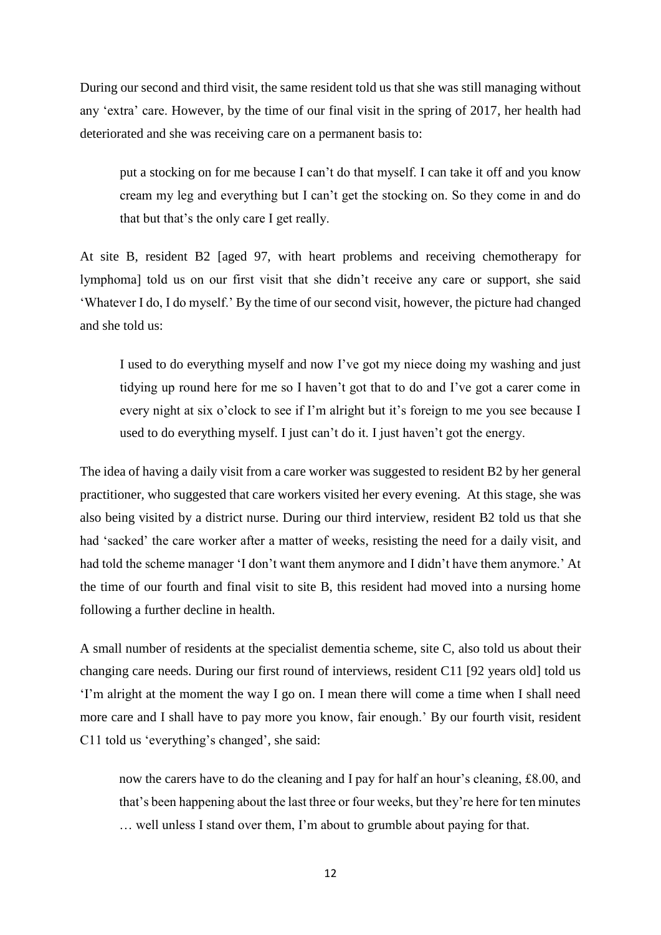During our second and third visit, the same resident told us that she was still managing without any 'extra' care. However, by the time of our final visit in the spring of 2017, her health had deteriorated and she was receiving care on a permanent basis to:

put a stocking on for me because I can't do that myself. I can take it off and you know cream my leg and everything but I can't get the stocking on. So they come in and do that but that's the only care I get really.

At site B, resident B2 [aged 97, with heart problems and receiving chemotherapy for lymphoma] told us on our first visit that she didn't receive any care or support, she said 'Whatever I do, I do myself.' By the time of our second visit, however, the picture had changed and she told us:

I used to do everything myself and now I've got my niece doing my washing and just tidying up round here for me so I haven't got that to do and I've got a carer come in every night at six o'clock to see if I'm alright but it's foreign to me you see because I used to do everything myself. I just can't do it. I just haven't got the energy.

The idea of having a daily visit from a care worker was suggested to resident B2 by her general practitioner, who suggested that care workers visited her every evening. At this stage, she was also being visited by a district nurse. During our third interview, resident B2 told us that she had 'sacked' the care worker after a matter of weeks, resisting the need for a daily visit, and had told the scheme manager 'I don't want them anymore and I didn't have them anymore.' At the time of our fourth and final visit to site B, this resident had moved into a nursing home following a further decline in health.

A small number of residents at the specialist dementia scheme, site C, also told us about their changing care needs. During our first round of interviews, resident C11 [92 years old] told us 'I'm alright at the moment the way I go on. I mean there will come a time when I shall need more care and I shall have to pay more you know, fair enough.' By our fourth visit, resident C11 told us 'everything's changed', she said:

now the carers have to do the cleaning and I pay for half an hour's cleaning, £8.00, and that's been happening about the last three or four weeks, but they're here for ten minutes … well unless I stand over them, I'm about to grumble about paying for that.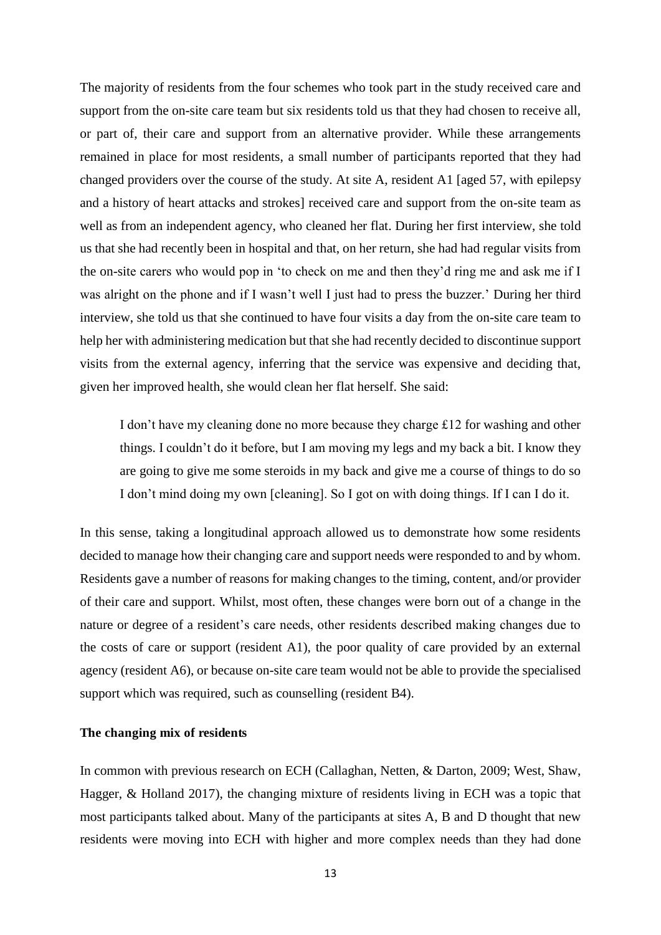The majority of residents from the four schemes who took part in the study received care and support from the on-site care team but six residents told us that they had chosen to receive all, or part of, their care and support from an alternative provider. While these arrangements remained in place for most residents, a small number of participants reported that they had changed providers over the course of the study. At site A, resident A1 [aged 57, with epilepsy and a history of heart attacks and strokes] received care and support from the on-site team as well as from an independent agency, who cleaned her flat. During her first interview, she told us that she had recently been in hospital and that, on her return, she had had regular visits from the on-site carers who would pop in 'to check on me and then they'd ring me and ask me if I was alright on the phone and if I wasn't well I just had to press the buzzer.' During her third interview, she told us that she continued to have four visits a day from the on-site care team to help her with administering medication but that she had recently decided to discontinue support visits from the external agency, inferring that the service was expensive and deciding that, given her improved health, she would clean her flat herself. She said:

I don't have my cleaning done no more because they charge £12 for washing and other things. I couldn't do it before, but I am moving my legs and my back a bit. I know they are going to give me some steroids in my back and give me a course of things to do so I don't mind doing my own [cleaning]. So I got on with doing things. If I can I do it.

In this sense, taking a longitudinal approach allowed us to demonstrate how some residents decided to manage how their changing care and support needs were responded to and by whom. Residents gave a number of reasons for making changes to the timing, content, and/or provider of their care and support. Whilst, most often, these changes were born out of a change in the nature or degree of a resident's care needs, other residents described making changes due to the costs of care or support (resident A1), the poor quality of care provided by an external agency (resident A6), or because on-site care team would not be able to provide the specialised support which was required, such as counselling (resident B4).

#### **The changing mix of residents**

In common with previous research on ECH (Callaghan, Netten, & Darton, 2009; West, Shaw, Hagger, & Holland 2017), the changing mixture of residents living in ECH was a topic that most participants talked about. Many of the participants at sites A, B and D thought that new residents were moving into ECH with higher and more complex needs than they had done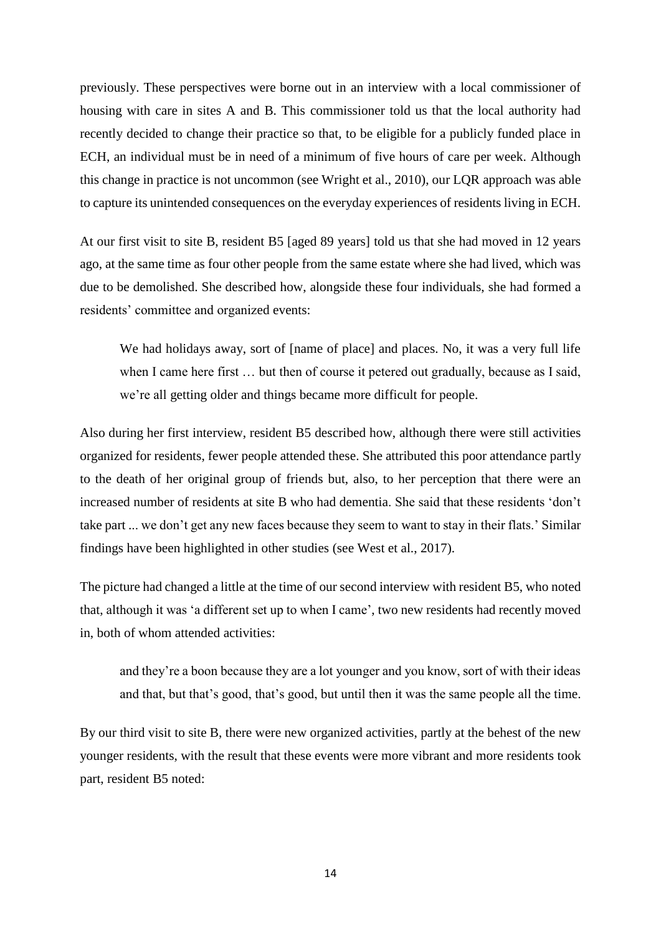previously. These perspectives were borne out in an interview with a local commissioner of housing with care in sites A and B. This commissioner told us that the local authority had recently decided to change their practice so that, to be eligible for a publicly funded place in ECH, an individual must be in need of a minimum of five hours of care per week. Although this change in practice is not uncommon (see Wright et al., 2010), our LQR approach was able to capture its unintended consequences on the everyday experiences of residents living in ECH.

At our first visit to site B, resident B5 [aged 89 years] told us that she had moved in 12 years ago, at the same time as four other people from the same estate where she had lived, which was due to be demolished. She described how, alongside these four individuals, she had formed a residents' committee and organized events:

We had holidays away, sort of [name of place] and places. No, it was a very full life when I came here first ... but then of course it petered out gradually, because as I said, we're all getting older and things became more difficult for people.

Also during her first interview, resident B5 described how, although there were still activities organized for residents, fewer people attended these. She attributed this poor attendance partly to the death of her original group of friends but, also, to her perception that there were an increased number of residents at site B who had dementia. She said that these residents 'don't take part ... we don't get any new faces because they seem to want to stay in their flats.' Similar findings have been highlighted in other studies (see West et al., 2017).

The picture had changed a little at the time of our second interview with resident B5, who noted that, although it was 'a different set up to when I came', two new residents had recently moved in, both of whom attended activities:

and they're a boon because they are a lot younger and you know, sort of with their ideas and that, but that's good, that's good, but until then it was the same people all the time.

By our third visit to site B, there were new organized activities, partly at the behest of the new younger residents, with the result that these events were more vibrant and more residents took part, resident B5 noted: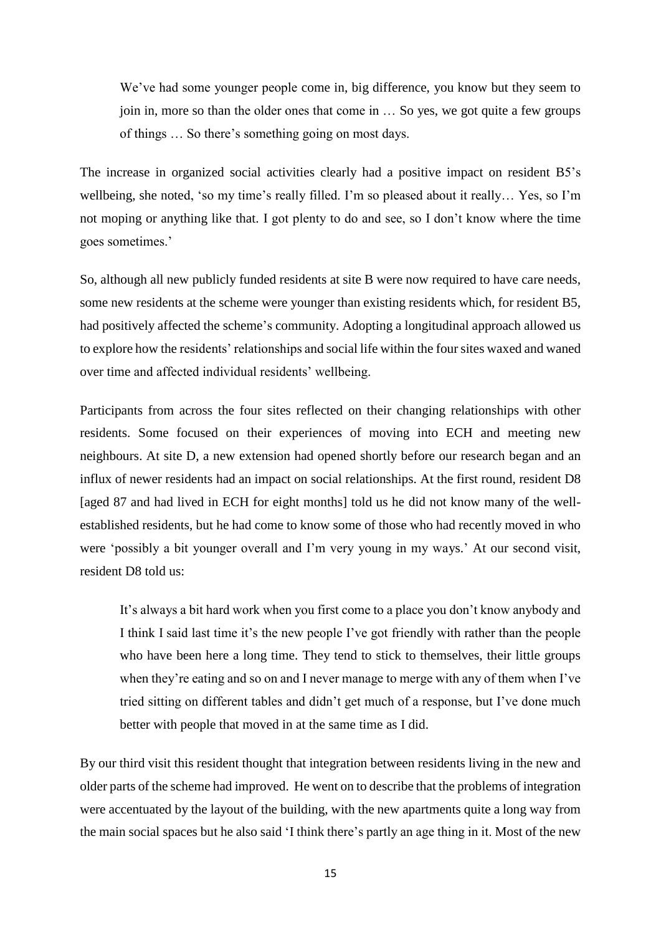We've had some younger people come in, big difference, you know but they seem to join in, more so than the older ones that come in … So yes, we got quite a few groups of things … So there's something going on most days.

The increase in organized social activities clearly had a positive impact on resident B5's wellbeing, she noted, 'so my time's really filled. I'm so pleased about it really… Yes, so I'm not moping or anything like that. I got plenty to do and see, so I don't know where the time goes sometimes.'

So, although all new publicly funded residents at site B were now required to have care needs, some new residents at the scheme were younger than existing residents which, for resident B5, had positively affected the scheme's community. Adopting a longitudinal approach allowed us to explore how the residents' relationships and social life within the four sites waxed and waned over time and affected individual residents' wellbeing.

Participants from across the four sites reflected on their changing relationships with other residents. Some focused on their experiences of moving into ECH and meeting new neighbours. At site D, a new extension had opened shortly before our research began and an influx of newer residents had an impact on social relationships. At the first round, resident D8 [aged 87 and had lived in ECH for eight months] told us he did not know many of the wellestablished residents, but he had come to know some of those who had recently moved in who were 'possibly a bit younger overall and I'm very young in my ways.' At our second visit, resident D8 told us:

It's always a bit hard work when you first come to a place you don't know anybody and I think I said last time it's the new people I've got friendly with rather than the people who have been here a long time. They tend to stick to themselves, their little groups when they're eating and so on and I never manage to merge with any of them when I've tried sitting on different tables and didn't get much of a response, but I've done much better with people that moved in at the same time as I did.

By our third visit this resident thought that integration between residents living in the new and older parts of the scheme had improved. He went on to describe that the problems of integration were accentuated by the layout of the building, with the new apartments quite a long way from the main social spaces but he also said 'I think there's partly an age thing in it. Most of the new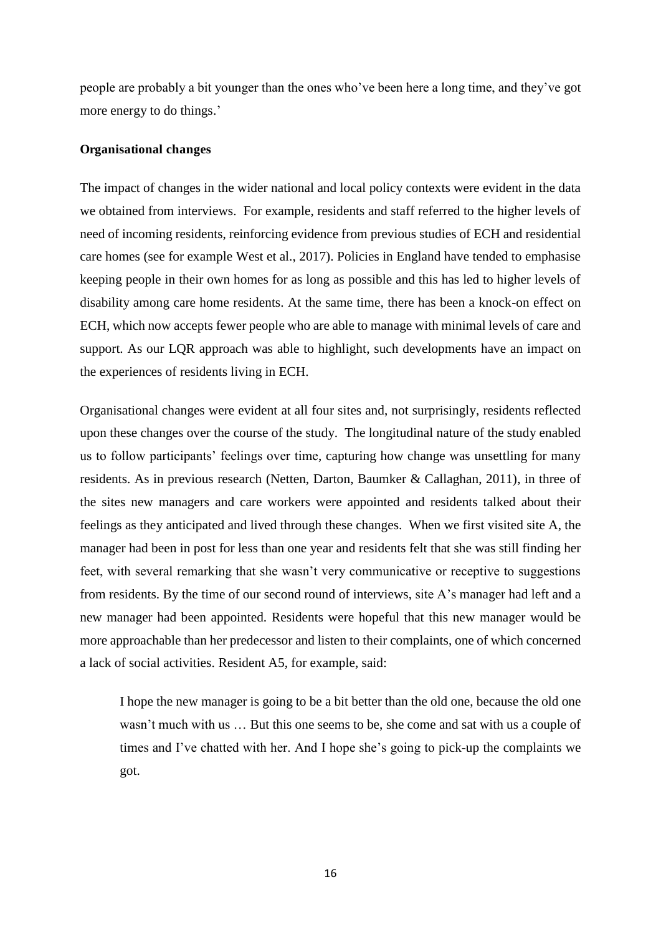people are probably a bit younger than the ones who've been here a long time, and they've got more energy to do things.'

#### **Organisational changes**

The impact of changes in the wider national and local policy contexts were evident in the data we obtained from interviews. For example, residents and staff referred to the higher levels of need of incoming residents, reinforcing evidence from previous studies of ECH and residential care homes (see for example West et al., 2017). Policies in England have tended to emphasise keeping people in their own homes for as long as possible and this has led to higher levels of disability among care home residents. At the same time, there has been a knock-on effect on ECH, which now accepts fewer people who are able to manage with minimal levels of care and support. As our LQR approach was able to highlight, such developments have an impact on the experiences of residents living in ECH.

Organisational changes were evident at all four sites and, not surprisingly, residents reflected upon these changes over the course of the study. The longitudinal nature of the study enabled us to follow participants' feelings over time, capturing how change was unsettling for many residents. As in previous research (Netten, Darton, Baumker & Callaghan, 2011), in three of the sites new managers and care workers were appointed and residents talked about their feelings as they anticipated and lived through these changes. When we first visited site A, the manager had been in post for less than one year and residents felt that she was still finding her feet, with several remarking that she wasn't very communicative or receptive to suggestions from residents. By the time of our second round of interviews, site A's manager had left and a new manager had been appointed. Residents were hopeful that this new manager would be more approachable than her predecessor and listen to their complaints, one of which concerned a lack of social activities. Resident A5, for example, said:

I hope the new manager is going to be a bit better than the old one, because the old one wasn't much with us … But this one seems to be, she come and sat with us a couple of times and I've chatted with her. And I hope she's going to pick-up the complaints we got.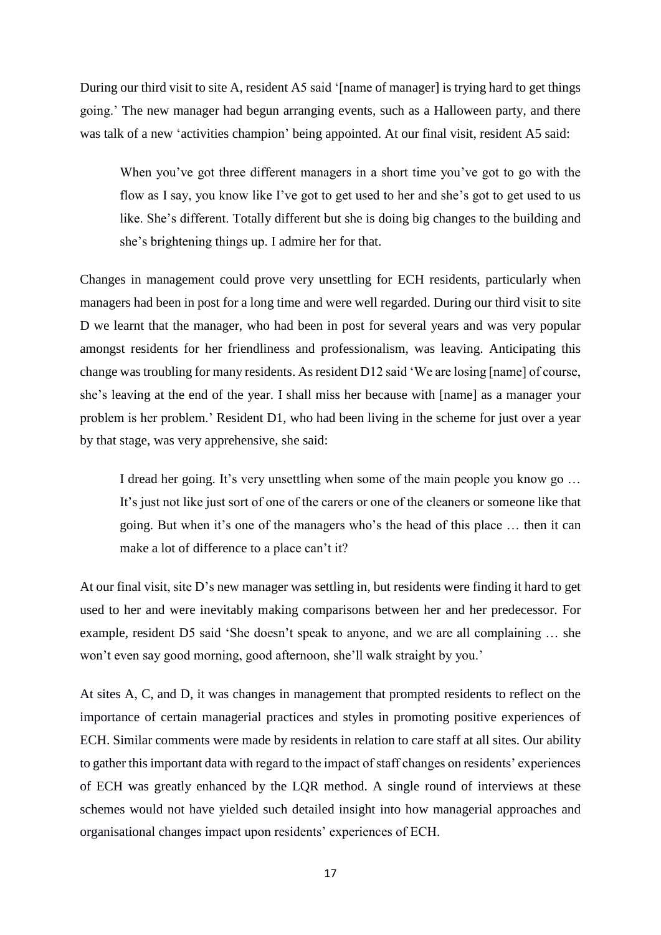During our third visit to site A, resident A5 said '[name of manager] is trying hard to get things going.' The new manager had begun arranging events, such as a Halloween party, and there was talk of a new 'activities champion' being appointed. At our final visit, resident A5 said:

When you've got three different managers in a short time you've got to go with the flow as I say, you know like I've got to get used to her and she's got to get used to us like. She's different. Totally different but she is doing big changes to the building and she's brightening things up. I admire her for that.

Changes in management could prove very unsettling for ECH residents, particularly when managers had been in post for a long time and were well regarded. During our third visit to site D we learnt that the manager, who had been in post for several years and was very popular amongst residents for her friendliness and professionalism, was leaving. Anticipating this change was troubling for many residents. As resident D12 said 'We are losing [name] of course, she's leaving at the end of the year. I shall miss her because with [name] as a manager your problem is her problem.' Resident D1, who had been living in the scheme for just over a year by that stage, was very apprehensive, she said:

I dread her going. It's very unsettling when some of the main people you know go … It's just not like just sort of one of the carers or one of the cleaners or someone like that going. But when it's one of the managers who's the head of this place … then it can make a lot of difference to a place can't it?

At our final visit, site D's new manager was settling in, but residents were finding it hard to get used to her and were inevitably making comparisons between her and her predecessor. For example, resident D5 said 'She doesn't speak to anyone, and we are all complaining … she won't even say good morning, good afternoon, she'll walk straight by you.'

At sites A, C, and D, it was changes in management that prompted residents to reflect on the importance of certain managerial practices and styles in promoting positive experiences of ECH. Similar comments were made by residents in relation to care staff at all sites. Our ability to gather this important data with regard to the impact of staff changes on residents' experiences of ECH was greatly enhanced by the LQR method. A single round of interviews at these schemes would not have yielded such detailed insight into how managerial approaches and organisational changes impact upon residents' experiences of ECH.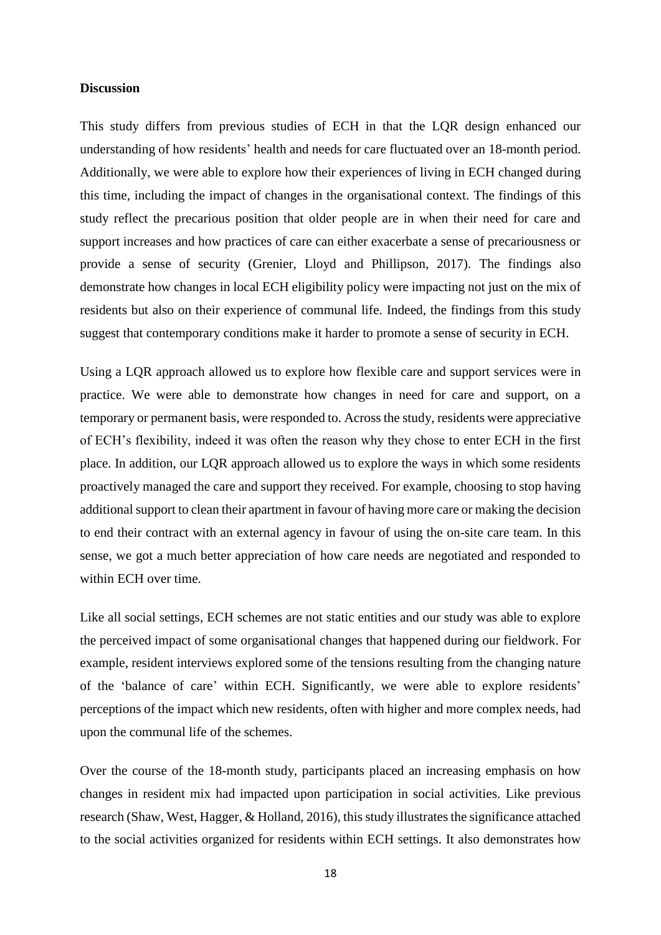#### **Discussion**

This study differs from previous studies of ECH in that the LQR design enhanced our understanding of how residents' health and needs for care fluctuated over an 18-month period. Additionally, we were able to explore how their experiences of living in ECH changed during this time, including the impact of changes in the organisational context. The findings of this study reflect the precarious position that older people are in when their need for care and support increases and how practices of care can either exacerbate a sense of precariousness or provide a sense of security (Grenier, Lloyd and Phillipson, 2017). The findings also demonstrate how changes in local ECH eligibility policy were impacting not just on the mix of residents but also on their experience of communal life. Indeed, the findings from this study suggest that contemporary conditions make it harder to promote a sense of security in ECH.

Using a LQR approach allowed us to explore how flexible care and support services were in practice. We were able to demonstrate how changes in need for care and support, on a temporary or permanent basis, were responded to. Across the study, residents were appreciative of ECH's flexibility, indeed it was often the reason why they chose to enter ECH in the first place. In addition, our LQR approach allowed us to explore the ways in which some residents proactively managed the care and support they received. For example, choosing to stop having additional support to clean their apartment in favour of having more care or making the decision to end their contract with an external agency in favour of using the on-site care team. In this sense, we got a much better appreciation of how care needs are negotiated and responded to within ECH over time.

Like all social settings, ECH schemes are not static entities and our study was able to explore the perceived impact of some organisational changes that happened during our fieldwork. For example, resident interviews explored some of the tensions resulting from the changing nature of the 'balance of care' within ECH. Significantly, we were able to explore residents' perceptions of the impact which new residents, often with higher and more complex needs, had upon the communal life of the schemes.

Over the course of the 18-month study, participants placed an increasing emphasis on how changes in resident mix had impacted upon participation in social activities. Like previous research (Shaw, West, Hagger, & Holland, 2016), this study illustrates the significance attached to the social activities organized for residents within ECH settings. It also demonstrates how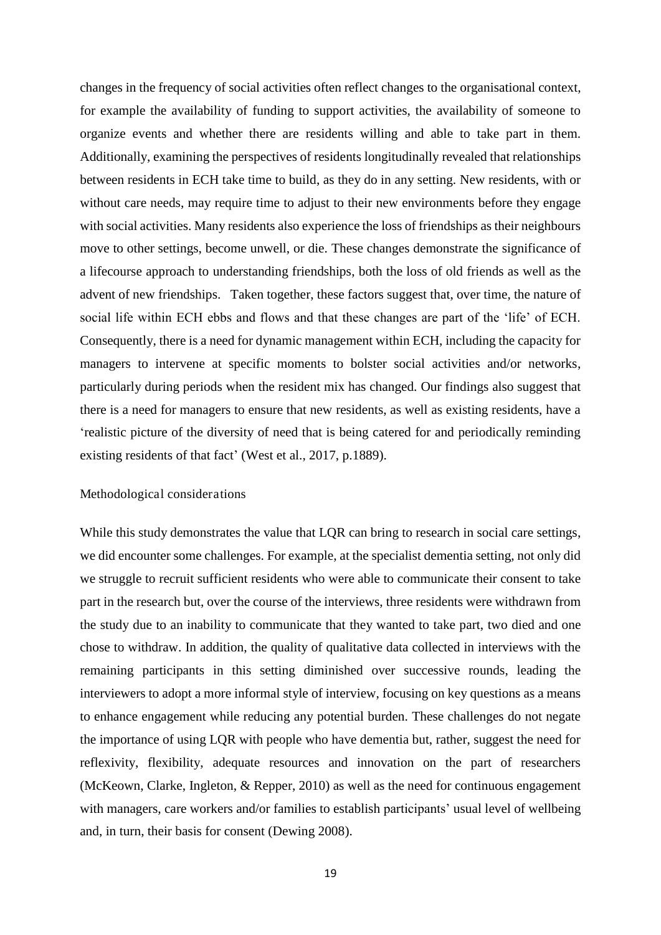changes in the frequency of social activities often reflect changes to the organisational context, for example the availability of funding to support activities, the availability of someone to organize events and whether there are residents willing and able to take part in them. Additionally, examining the perspectives of residents longitudinally revealed that relationships between residents in ECH take time to build, as they do in any setting. New residents, with or without care needs, may require time to adjust to their new environments before they engage with social activities. Many residents also experience the loss of friendships as their neighbours move to other settings, become unwell, or die. These changes demonstrate the significance of a lifecourse approach to understanding friendships, both the loss of old friends as well as the advent of new friendships. Taken together, these factors suggest that, over time, the nature of social life within ECH ebbs and flows and that these changes are part of the 'life' of ECH. Consequently, there is a need for dynamic management within ECH, including the capacity for managers to intervene at specific moments to bolster social activities and/or networks, particularly during periods when the resident mix has changed. Our findings also suggest that there is a need for managers to ensure that new residents, as well as existing residents, have a 'realistic picture of the diversity of need that is being catered for and periodically reminding existing residents of that fact' (West et al., 2017, p.1889).

#### Methodological considerations

While this study demonstrates the value that LQR can bring to research in social care settings, we did encounter some challenges. For example, at the specialist dementia setting, not only did we struggle to recruit sufficient residents who were able to communicate their consent to take part in the research but, over the course of the interviews, three residents were withdrawn from the study due to an inability to communicate that they wanted to take part, two died and one chose to withdraw. In addition, the quality of qualitative data collected in interviews with the remaining participants in this setting diminished over successive rounds, leading the interviewers to adopt a more informal style of interview, focusing on key questions as a means to enhance engagement while reducing any potential burden. These challenges do not negate the importance of using LQR with people who have dementia but, rather, suggest the need for reflexivity, flexibility, adequate resources and innovation on the part of researchers (McKeown, Clarke, Ingleton, & Repper, 2010) as well as the need for continuous engagement with managers, care workers and/or families to establish participants' usual level of wellbeing and, in turn, their basis for consent (Dewing 2008).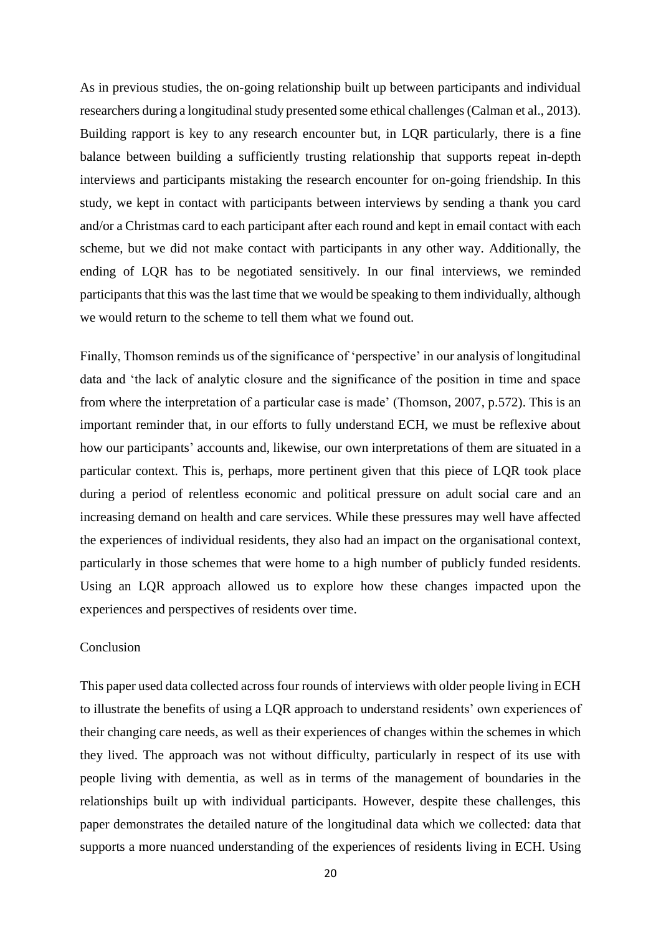As in previous studies, the on-going relationship built up between participants and individual researchers during a longitudinal study presented some ethical challenges (Calman et al., 2013). Building rapport is key to any research encounter but, in LQR particularly, there is a fine balance between building a sufficiently trusting relationship that supports repeat in-depth interviews and participants mistaking the research encounter for on-going friendship. In this study, we kept in contact with participants between interviews by sending a thank you card and/or a Christmas card to each participant after each round and kept in email contact with each scheme, but we did not make contact with participants in any other way. Additionally, the ending of LQR has to be negotiated sensitively. In our final interviews, we reminded participants that this was the last time that we would be speaking to them individually, although we would return to the scheme to tell them what we found out.

Finally, Thomson reminds us of the significance of 'perspective' in our analysis of longitudinal data and 'the lack of analytic closure and the significance of the position in time and space from where the interpretation of a particular case is made' (Thomson, 2007, p.572). This is an important reminder that, in our efforts to fully understand ECH, we must be reflexive about how our participants' accounts and, likewise, our own interpretations of them are situated in a particular context. This is, perhaps, more pertinent given that this piece of LQR took place during a period of relentless economic and political pressure on adult social care and an increasing demand on health and care services. While these pressures may well have affected the experiences of individual residents, they also had an impact on the organisational context, particularly in those schemes that were home to a high number of publicly funded residents. Using an LQR approach allowed us to explore how these changes impacted upon the experiences and perspectives of residents over time.

#### Conclusion

This paper used data collected across four rounds of interviews with older people living in ECH to illustrate the benefits of using a LQR approach to understand residents' own experiences of their changing care needs, as well as their experiences of changes within the schemes in which they lived. The approach was not without difficulty, particularly in respect of its use with people living with dementia, as well as in terms of the management of boundaries in the relationships built up with individual participants. However, despite these challenges, this paper demonstrates the detailed nature of the longitudinal data which we collected: data that supports a more nuanced understanding of the experiences of residents living in ECH. Using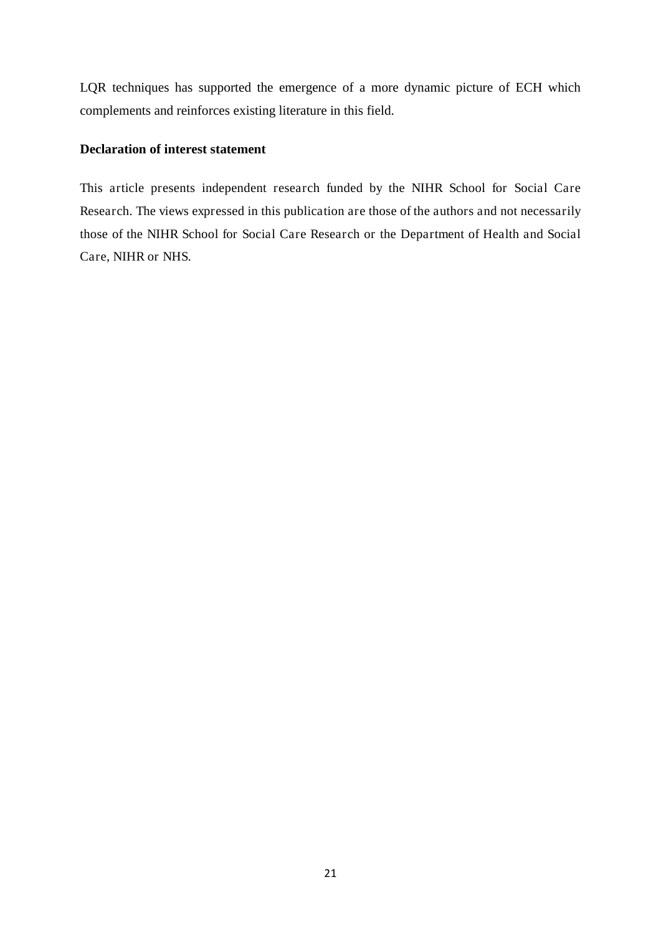LQR techniques has supported the emergence of a more dynamic picture of ECH which complements and reinforces existing literature in this field.

#### **Declaration of interest statement**

This article presents independent research funded by the NIHR School for Social Care Research. The views expressed in this publication are those of the authors and not necessarily those of the NIHR School for Social Care Research or the Department of Health and Social Care, NIHR or NHS.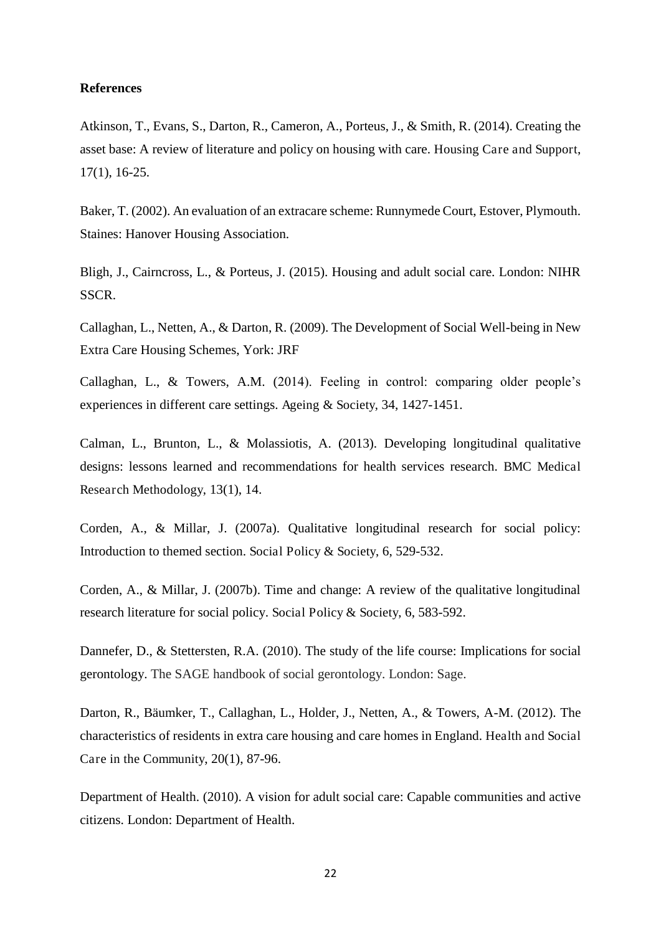#### **References**

Atkinson, T., Evans, S., Darton, R., Cameron, A., Porteus, J., & Smith, R. (2014). Creating the asset base: A review of literature and policy on housing with care. Housing Care and Support, 17(1), 16-25.

Baker, T. (2002). An evaluation of an extracare scheme: Runnymede Court, Estover, Plymouth. Staines: Hanover Housing Association.

Bligh, J., Cairncross, L., & Porteus, J. (2015). Housing and adult social care. London: NIHR SSCR.

Callaghan, L., Netten, A., & Darton, R. (2009). The Development of Social Well-being in New Extra Care Housing Schemes, York: JRF

Callaghan, L., & Towers, A.M. (2014). Feeling in control: comparing older people's experiences in different care settings. Ageing & Society, 34, 1427-1451.

Calman, L., Brunton, L., & Molassiotis, A. (2013). Developing longitudinal qualitative designs: lessons learned and recommendations for health services research. BMC Medical Research Methodology, 13(1), 14.

Corden, A., & Millar, J. (2007a). Qualitative longitudinal research for social policy: Introduction to themed section. Social Policy & Society, 6, 529-532.

Corden, A., & Millar, J. (2007b). Time and change: A review of the qualitative longitudinal research literature for social policy. Social Policy & Society, 6, 583-592.

Dannefer, D., & Stettersten, R.A. (2010). The study of the life course: Implications for social gerontology. The SAGE handbook of social gerontology. London: Sage.

Darton, R., Bäumker, T., Callaghan, L., Holder, J., Netten, A., & Towers, A-M. (2012). The characteristics of residents in extra care housing and care homes in England. Health and Social Care in the Community, 20(1), 87-96.

Department of Health. (2010). A vision for adult social care: Capable communities and active citizens. London: Department of Health.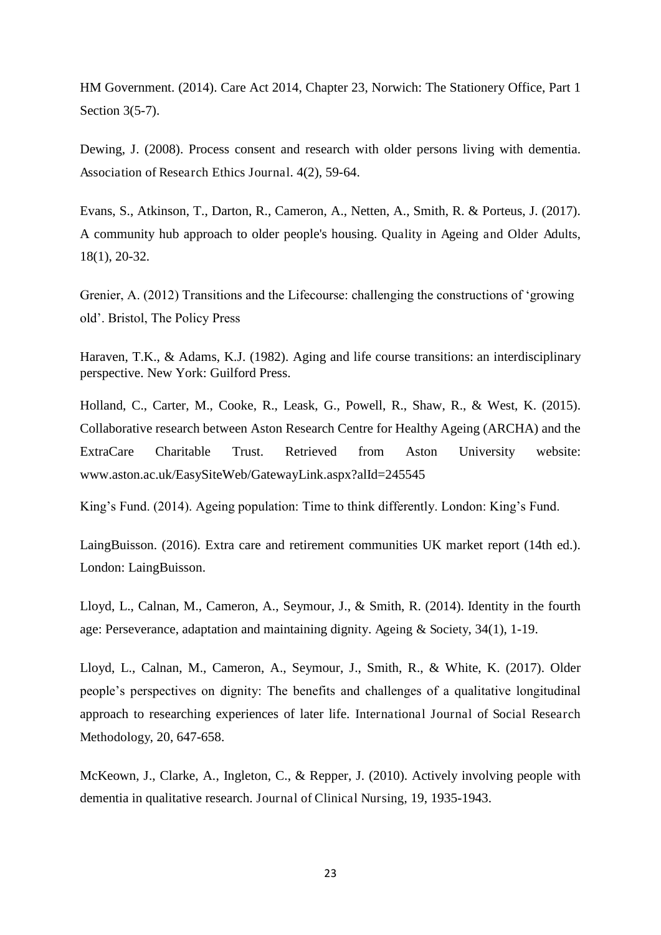HM Government. (2014). Care Act 2014, Chapter 23, Norwich: The Stationery Office, Part 1 Section 3(5-7).

Dewing, J. (2008). Process consent and research with older persons living with dementia. Association of Research Ethics Journal. 4(2), 59-64.

Evans, S., Atkinson, T., Darton, R., Cameron, A., Netten, A., Smith, R. & Porteus, J. (2017). A community hub approach to older people's housing. Quality in Ageing and Older Adults, 18(1), 20-32.

Grenier, A. (2012) Transitions and the Lifecourse: challenging the constructions of 'growing old'. Bristol, The Policy Press

Haraven, T.K., & Adams, K.J. (1982). Aging and life course transitions: an interdisciplinary perspective. New York: Guilford Press.

Holland, C., Carter, M., Cooke, R., Leask, G., Powell, R., Shaw, R., & West, K. (2015). Collaborative research between Aston Research Centre for Healthy Ageing (ARCHA) and the ExtraCare Charitable Trust. Retrieved from Aston University website: www.aston.ac.uk/EasySiteWeb/GatewayLink.aspx?alId=245545

King's Fund. (2014). Ageing population: Time to think differently. London: King's Fund.

LaingBuisson. (2016). Extra care and retirement communities UK market report (14th ed.). London: LaingBuisson.

Lloyd, L., Calnan, M., Cameron, A., Seymour, J., & Smith, R. (2014). Identity in the fourth age: Perseverance, adaptation and maintaining dignity. Ageing & Society, 34(1), 1-19.

Lloyd, L., Calnan, M., Cameron, A., Seymour, J., Smith, R., & White, K. (2017). Older people's perspectives on dignity: The benefits and challenges of a qualitative longitudinal approach to researching experiences of later life. International Journal of Social Research Methodology, 20, 647-658.

McKeown, J., Clarke, A., Ingleton, C., & Repper, J. (2010). Actively involving people with dementia in qualitative research. Journal of Clinical Nursing, 19, 1935-1943.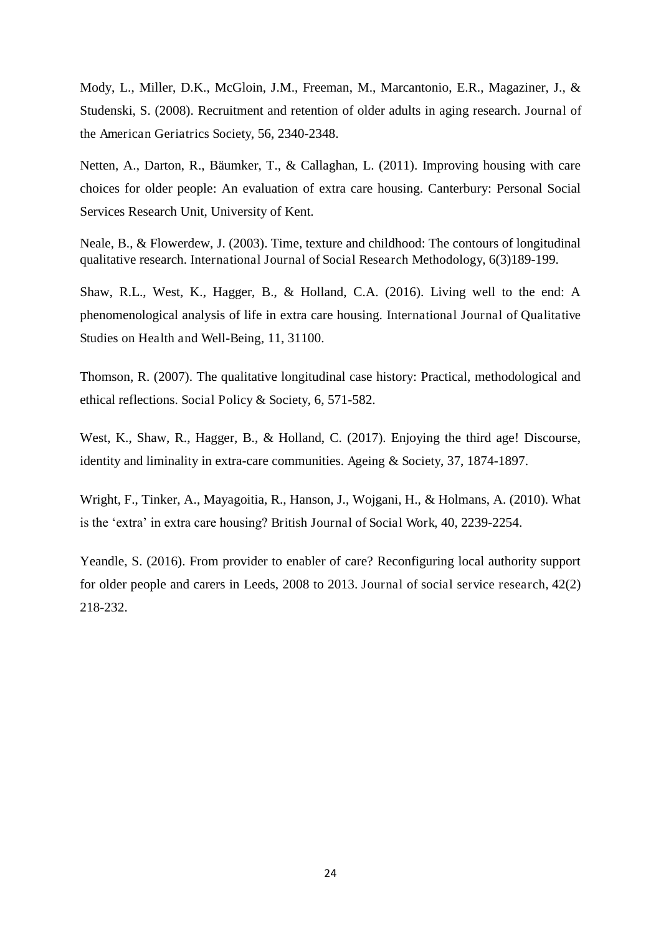Mody, L., Miller, D.K., McGloin, J.M., Freeman, M., Marcantonio, E.R., Magaziner, J., & Studenski, S. (2008). Recruitment and retention of older adults in aging research. Journal of the American Geriatrics Society, 56, 2340-2348.

Netten, A., Darton, R., Bäumker, T., & Callaghan, L. (2011). Improving housing with care choices for older people: An evaluation of extra care housing. Canterbury: Personal Social Services Research Unit, University of Kent.

Neale, B., & Flowerdew, J. (2003). Time, texture and childhood: The contours of longitudinal qualitative research. International Journal of Social Research Methodology, 6(3)189-199.

Shaw, R.L., West, K., Hagger, B., & Holland, C.A. (2016). Living well to the end: A phenomenological analysis of life in extra care housing. International Journal of Qualitative Studies on Health and Well-Being, 11, 31100.

Thomson, R. (2007). The qualitative longitudinal case history: Practical, methodological and ethical reflections. Social Policy & Society, 6, 571-582.

West, K., Shaw, R., Hagger, B., & Holland, C. (2017). Enjoying the third age! Discourse, identity and liminality in extra-care communities. Ageing & Society, 37, 1874-1897.

Wright, F., Tinker, A., Mayagoitia, R., Hanson, J., Wojgani, H., & Holmans, A. (2010). What is the 'extra' in extra care housing? British Journal of Social Work, 40, 2239-2254.

Yeandle, S. (2016). From provider to enabler of care? Reconfiguring local authority support for older people and carers in Leeds, 2008 to 2013. Journal of social service research, 42(2) 218-232.